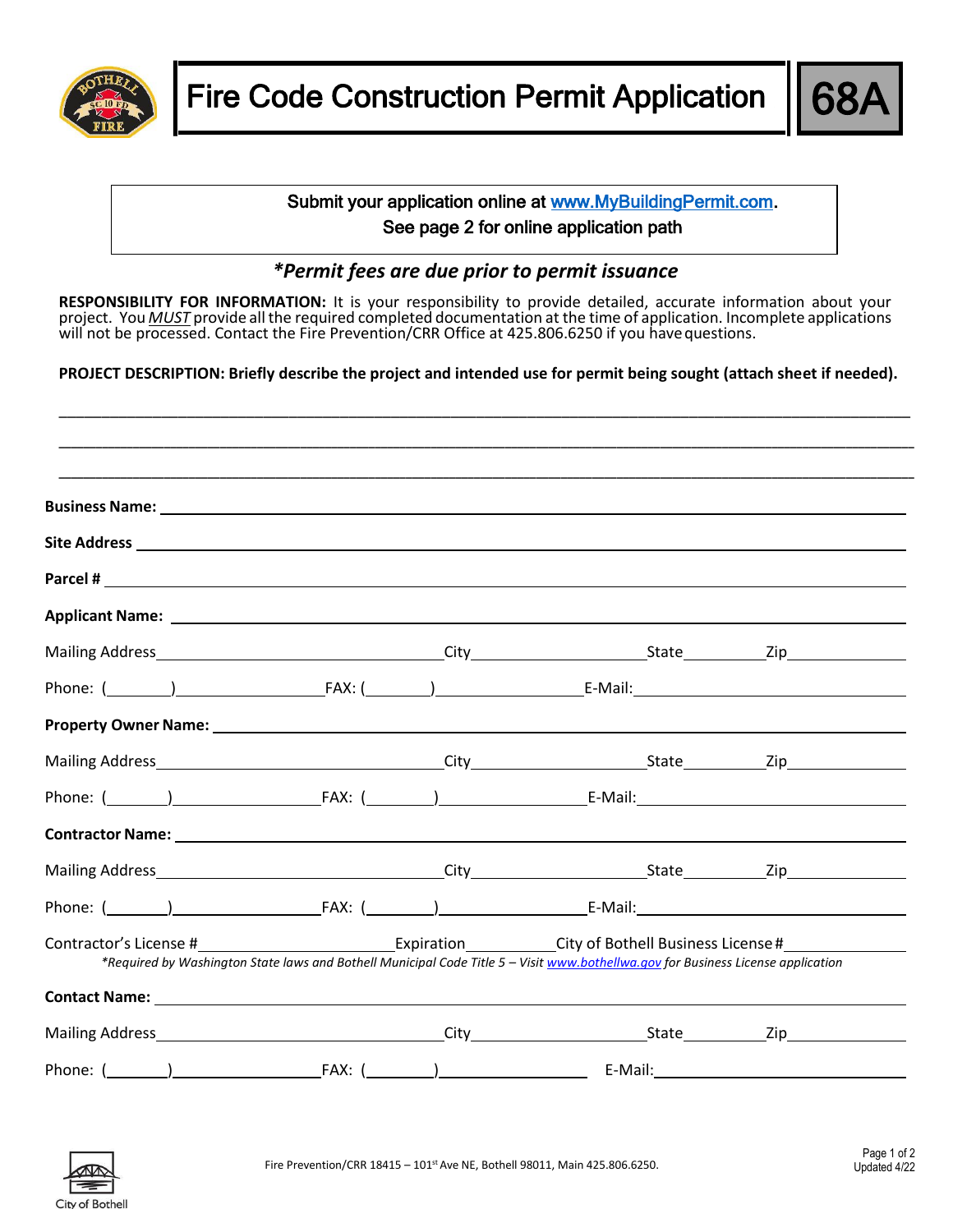



## Submit your application online at [www.MyBuildingPermit.com.](http://www.mybuildingpermit.com/) See page 2 for online application path

## *\*Permit fees are due prior to permit issuance*

**RESPONSIBILITY FOR INFORMATION:** It is your responsibility to provide detailed, accurate information about your project. You *MUST* provide all the required completed documentation at the time of application. Incomplete applications will not be processed. Contact the Fire Prevention/CRR Office at 425.806.6250 if you have questions.

**PROJECT DESCRIPTION: Briefly describe the project and intended use for permit being sought (attach sheet if needed).**

|  | المستقل المستقل المستقل المستقل المستقل المستقل المستقل المستقل المستقل المستقل المستقل المستقل المستقل المستقل المستقل المستقل المستقل المستقل المستقل المستقل المستقل المستقل المستقل المستقل المستقل المستقل المستقل المست            |  |
|--|------------------------------------------------------------------------------------------------------------------------------------------------------------------------------------------------------------------------------------------|--|
|  |                                                                                                                                                                                                                                          |  |
|  |                                                                                                                                                                                                                                          |  |
|  | Applicant Name: Name and Applicant Name and Applicant Market Applicant Market Applicant Name and Applicant Ma                                                                                                                            |  |
|  |                                                                                                                                                                                                                                          |  |
|  | Phone: ( <u>University of the Californian Community of the Californian Community of the Californian Community of the Californian Community of the Californian Community of the Californian Community of the Californian Community</u>    |  |
|  |                                                                                                                                                                                                                                          |  |
|  |                                                                                                                                                                                                                                          |  |
|  | Phone: ( <u>University of the Californian Community of the Californian Community of the Californian Community of the Californian Community of the Californian Community of the Californian Community of the Californian Community</u>    |  |
|  | <b>Contractor Name:</b> <u>Contractor Name:</u> Contractor Name: 2008. 2009. 2009. 2009. 2009. 2009. 2009. 2009. 2009. 2009. 2009. 2009. 2009. 2009. 2009. 2009. 2009. 2009. 2009. 2009. 2009. 2009. 2009. 2009. 2009. 2009. 2009. 2009. |  |
|  |                                                                                                                                                                                                                                          |  |
|  |                                                                                                                                                                                                                                          |  |
|  | *Required by Washington State laws and Bothell Municipal Code Title 5 - Visit www.bothellwa.gov for Business License application                                                                                                         |  |
|  |                                                                                                                                                                                                                                          |  |
|  |                                                                                                                                                                                                                                          |  |
|  |                                                                                                                                                                                                                                          |  |